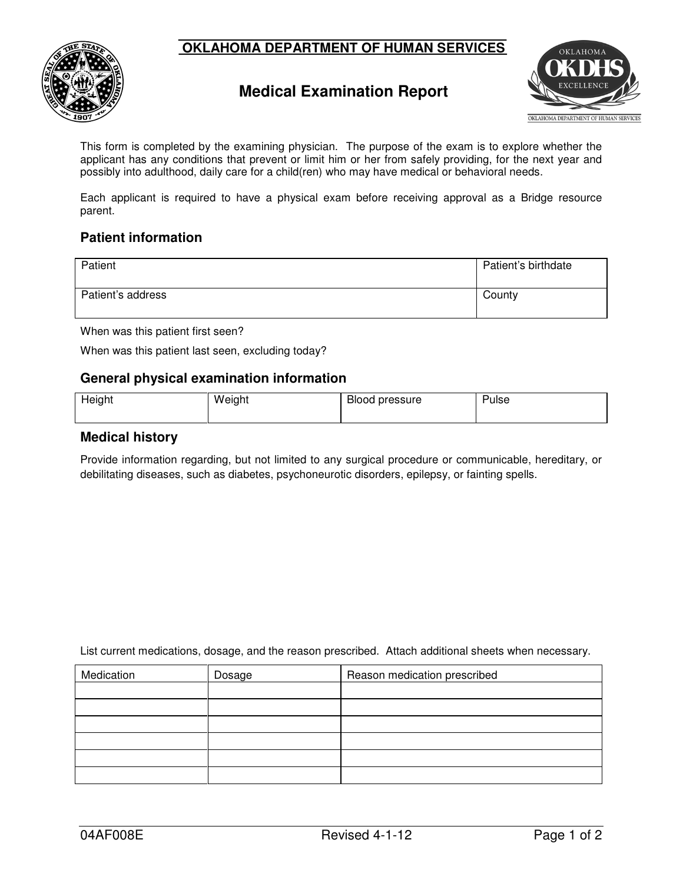



## **Medical Examination Report**



 This form is completed by the examining physician. The purpose of the exam is to explore whether the applicant has any conditions that prevent or limit him or her from safely providing, for the next year and possibly into adulthood, daily care for a child(ren) who may have medical or behavioral needs.

 Each applicant is required to have a physical exam before receiving approval as a Bridge resource parent.

## **Patient information**

| Patient           | Patient's birthdate |
|-------------------|---------------------|
| Patient's address | County              |

When was this patient first seen?

When was this patient last seen, excluding today?

## **General physical examination information**

| Height | Weight | Blood pressure | Pulse |
|--------|--------|----------------|-------|
|        |        |                |       |

## **Medical history**

 Provide information regarding, but not limited to any surgical procedure or communicable, hereditary, or debilitating diseases, such as diabetes, psychoneurotic disorders, epilepsy, or fainting spells.

List current medications, dosage, and the reason prescribed. Attach additional sheets when necessary.

| Medication | Dosage | Reason medication prescribed |
|------------|--------|------------------------------|
|            |        |                              |
|            |        |                              |
|            |        |                              |
|            |        |                              |
|            |        |                              |
|            |        |                              |